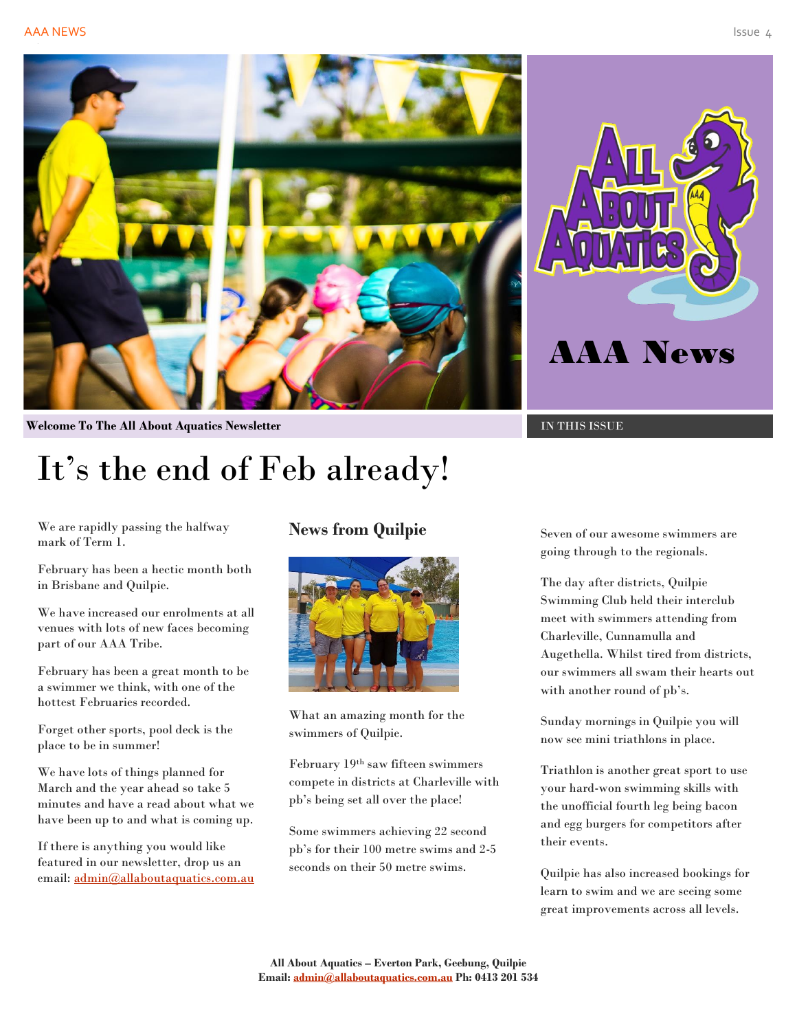

**Welcome To The All About Aquatics Newsletter International Institute of The IN THIS ISSUE** 

# It's the end of Feb already!

We are rapidly passing the halfway mark of Term 1.

February has been a hectic month both in Brisbane and Quilpie.

We have increased our enrolments at all venues with lots of new faces becoming part of our AAA Tribe.

February has been a great month to be a swimmer we think, with one of the hottest Februaries recorded.

Forget other sports, pool deck is the place to be in summer!

We have lots of things planned for March and the year ahead so take 5 minutes and have a read about what we have been up to and what is coming up.

If there is anything you would like featured in our newsletter, drop us an email[: admin@allaboutaquatics.com.au](mailto:admin@allaboutaquatics.com.au)

#### **News from Quilpie**



What an amazing month for the swimmers of Quilpie.

February 19th saw fifteen swimmers compete in districts at Charleville with pb's being set all over the place!

Some swimmers achieving 22 second pb's for their 100 metre swims and 2-5 seconds on their 50 metre swims.

Seven of our awesome swimmers are going through to the regionals.

The day after districts, Quilpie Swimming Club held their interclub meet with swimmers attending from Charleville, Cunnamulla and Augethella. Whilst tired from districts, our swimmers all swam their hearts out with another round of pb's.

Sunday mornings in Quilpie you will now see mini triathlons in place.

Triathlon is another great sport to use your hard-won swimming skills with the unofficial fourth leg being bacon and egg burgers for competitors after their events.

Quilpie has also increased bookings for learn to swim and we are seeing some great improvements across all levels.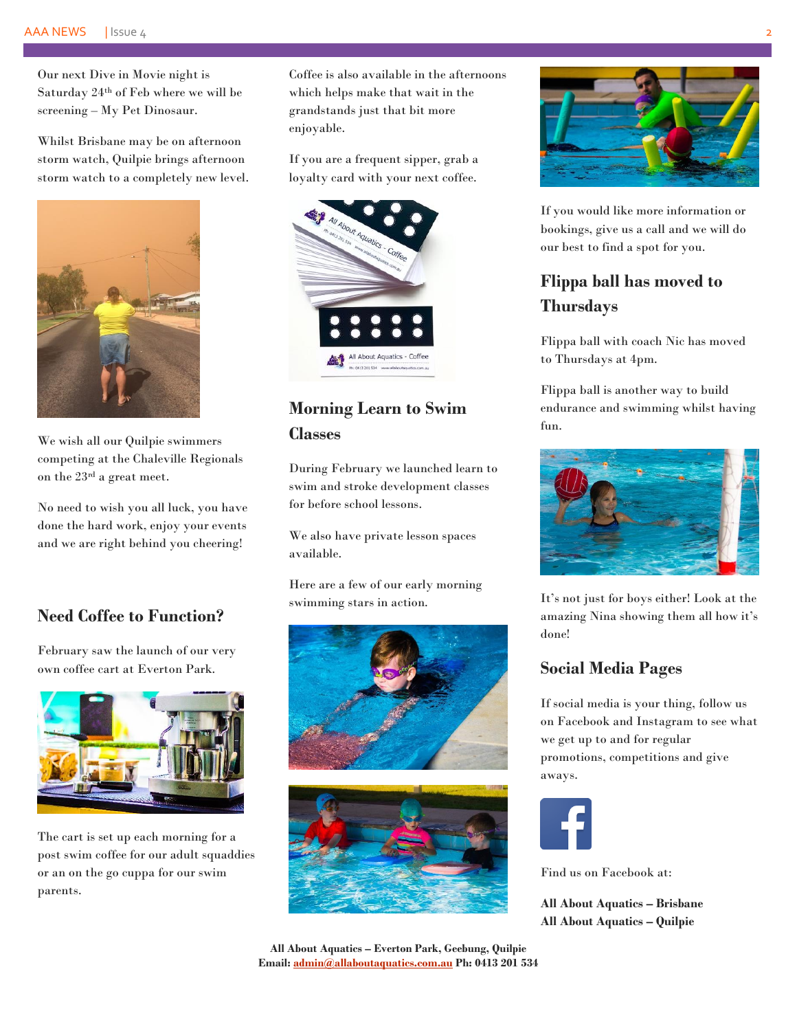#### AAA NEWS | Issue 4 22 22 22 22 22 23 23 24 25 26 27 27 28 29 20 21 22 23 24 25 26 27 27 27 27 27 27 27 27 27 2

Our next Dive in Movie night is Saturday 24th of Feb where we will be screening – My Pet Dinosaur.

Whilst Brisbane may be on afternoon storm watch, Quilpie brings afternoon storm watch to a completely new level.



We wish all our Quilpie swimmers competing at the Chaleville Regionals on the 23rd a great meet.

No need to wish you all luck, you have done the hard work, enjoy your events and we are right behind you cheering!

### **Need Coffee to Function?**

February saw the launch of our very own coffee cart at Everton Park.



The cart is set up each morning for a post swim coffee for our adult squaddies or an on the go cuppa for our swim parents.

Coffee is also available in the afternoons which helps make that wait in the grandstands just that bit more enjoyable.

If you are a frequent sipper, grab a loyalty card with your next coffee.



## **Morning Learn to Swim Classes**

During February we launched learn to swim and stroke development classes for before school lessons.

We also have private lesson spaces available.

Here are a few of our early morning swimming stars in action.







If you would like more information or bookings, give us a call and we will do our best to find a spot for you.

# **Flippa ball has moved to Thursdays**

Flippa ball with coach Nic has moved to Thursdays at 4pm.

Flippa ball is another way to build endurance and swimming whilst having fun.



It's not just for boys either! Look at the amazing Nina showing them all how it's done!

### **Social Media Pages**

If social media is your thing, follow us on Facebook and Instagram to see what we get up to and for regular promotions, competitions and give aways.



Find us on Facebook at:

**All About Aquatics – Brisbane All About Aquatics – Quilpie**

**All About Aquatics – Everton Park, Geebung, Quilpie Email[: admin@allaboutaquatics.com.au](mailto:admin@allaboutaquatics.com.au) Ph: 0413 201 534**